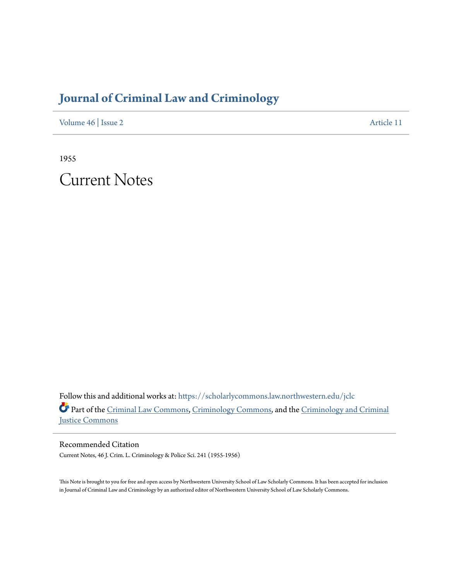# **[Journal of Criminal Law and Criminology](https://scholarlycommons.law.northwestern.edu/jclc?utm_source=scholarlycommons.law.northwestern.edu%2Fjclc%2Fvol46%2Fiss2%2F11&utm_medium=PDF&utm_campaign=PDFCoverPages)**

[Volume 46](https://scholarlycommons.law.northwestern.edu/jclc/vol46?utm_source=scholarlycommons.law.northwestern.edu%2Fjclc%2Fvol46%2Fiss2%2F11&utm_medium=PDF&utm_campaign=PDFCoverPages) | [Issue 2](https://scholarlycommons.law.northwestern.edu/jclc/vol46/iss2?utm_source=scholarlycommons.law.northwestern.edu%2Fjclc%2Fvol46%2Fiss2%2F11&utm_medium=PDF&utm_campaign=PDFCoverPages) [Article 11](https://scholarlycommons.law.northwestern.edu/jclc/vol46/iss2/11?utm_source=scholarlycommons.law.northwestern.edu%2Fjclc%2Fvol46%2Fiss2%2F11&utm_medium=PDF&utm_campaign=PDFCoverPages)

1955

Current Notes

Follow this and additional works at: [https://scholarlycommons.law.northwestern.edu/jclc](https://scholarlycommons.law.northwestern.edu/jclc?utm_source=scholarlycommons.law.northwestern.edu%2Fjclc%2Fvol46%2Fiss2%2F11&utm_medium=PDF&utm_campaign=PDFCoverPages) Part of the [Criminal Law Commons](http://network.bepress.com/hgg/discipline/912?utm_source=scholarlycommons.law.northwestern.edu%2Fjclc%2Fvol46%2Fiss2%2F11&utm_medium=PDF&utm_campaign=PDFCoverPages), [Criminology Commons](http://network.bepress.com/hgg/discipline/417?utm_source=scholarlycommons.law.northwestern.edu%2Fjclc%2Fvol46%2Fiss2%2F11&utm_medium=PDF&utm_campaign=PDFCoverPages), and the [Criminology and Criminal](http://network.bepress.com/hgg/discipline/367?utm_source=scholarlycommons.law.northwestern.edu%2Fjclc%2Fvol46%2Fiss2%2F11&utm_medium=PDF&utm_campaign=PDFCoverPages) [Justice Commons](http://network.bepress.com/hgg/discipline/367?utm_source=scholarlycommons.law.northwestern.edu%2Fjclc%2Fvol46%2Fiss2%2F11&utm_medium=PDF&utm_campaign=PDFCoverPages)

Recommended Citation Current Notes, 46 J. Crim. L. Criminology & Police Sci. 241 (1955-1956)

This Note is brought to you for free and open access by Northwestern University School of Law Scholarly Commons. It has been accepted for inclusion in Journal of Criminal Law and Criminology by an authorized editor of Northwestern University School of Law Scholarly Commons.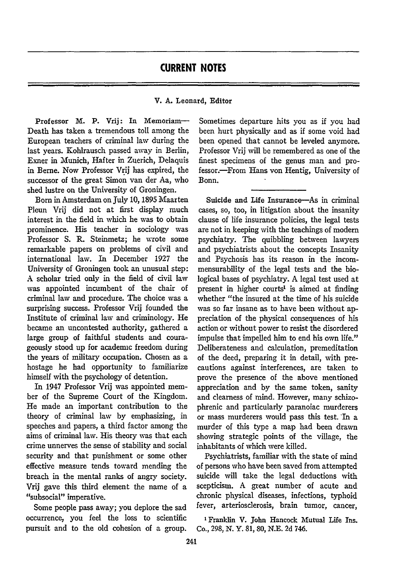# **CURRENT NOTES**

#### V. **A.** Leonard, Editor

Professor M. P. Vrij: In Memoriam-Death has taken a tremendous toll among the European teachers of criminal law during the last years. Kohlrausch passed away in Berlin, Exner in Munich, Hafter in Zuerich, Delaquis in Berne. Now Professor Vrij has expired, the successor of the great Simon van der Aa, who shed lustre on the University of Groningen.

Born in Amsterdam on July **10,** 1895 Maarten Pleun Vrij did not at first display much interest in the field in which he was to obtain prominence. His teacher in sociology was Professor S. R. Steinmetz; he wrote some remarkable papers on problems of civil and international law. In December 1927 the University of Groningen took an unusual step: A scholar tried only in the field of civil law was appointed incumbent of the chair of criminal law and procedure. The choice was a surprising success. Professor Vrij founded the Institute of criminal law and criminology. He became an uncontested authority, gathered a large group of faithful students and courageously stood up for academic freedom during the years of military occupation. Chosen as a hostage he had opportunity to familiarize himself with the psychology of detention.

In 1947 Professor Vrij was appointed member of the Supreme Court of the Kingdom. He made an important contribution to the theory of criminal law **by** emphasizing, in speeches and papers, a third factor among the aims of criminal law. His theory was that each crime unnerves the sense of stability and social security and that punishment or some other effective measure tends toward mending the breach in the mental ranks of angry society. Vrij gave this third element the name of a "subsocial" imperative.

Some people pass away; you deplore the sad occurrence, you feel the loss to scientific pursuit and to the old cohesion of a group.

Sometimes departure hits you as if you had been hurt physically and as if some void had been opened that cannot be leveled anymore. Professor Vrij will be remembered as one of the finest specimens of the genus man and professor.-From Hans von Hentig, University of Bonn.

Suicide and Life Insurance-As in criminal cases, so, too, in litigation about the insanity clause of life insurance policies, the legal tests are not in keeping with the teachings of modern psychiatry. The quibbling between lawyers and psychiatrists about the concepts Insanity and Psychosis has its reason in the incommensurability of the legal tests and the biological bases of psychiatry. A legal test used at present in higher courts' is aimed at finding whether "the insured at the time of his suicide was so far insane as to have been without appreciation of the physical consequences of his action or without power to resist the disordered impulse that impelled him to end his own life." Deliberateness and calculation, premeditation of the deed, preparing it in detail, with precautions against interferences, are taken to prove the presence of the above mentioned appreciation and by the same token, sanity and clearness of mind. However, many schizophrenic and particularly paranoiac murderers or mass murderers would pass this test. In a murder of this type a map had been drawn showing strategic points of the village, the inhabitants of which were killed.

Psychiatrists, familiar with the state of mind of persons who have been saved from attempted suicide will take the legal deductions with scepticism. A great number of acute and chronic physical diseases, infections, typhoid fever, arteriosclerosis, brain tumor, cancer,

' Franklin V. John Hancock Mutual Life Ins. Co., 298, N. Y. 81, 80, N.E. 2d 746.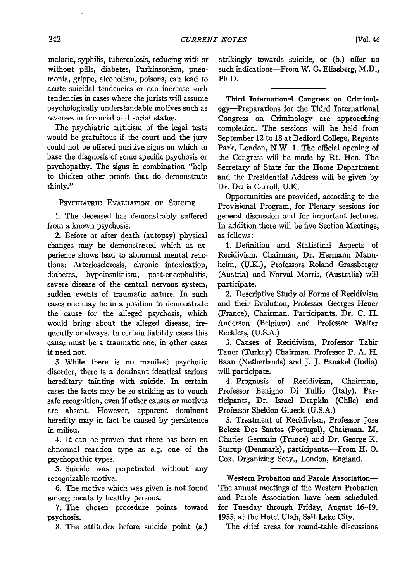malaria, syphilis, tuberculosis, reducing with or without pills, diabetes, Parkinsonism, pneumonia, grippe, alcoholism, poisons, can lead to acute suicidal tendencies or can increase such tendencies in cases where the jurists will assume psychologically understandable motives such as reverses in financial and social status.

The psychiatric criticism of the legal tests would be gratuitous if the court and the jury could not be offered positive signs on which to base the diagnosis of some specific psychosis or psychopathy. The signs in combination "help to thicken other proofs that do demonstrate thinly."

#### PSYCHIATRIC EVALUATION OF SUICIDE

**1.** The deceased has demonstrably suffered from a known psychosis.

2. Before or after death (autopsy) physical changes may be demonstrated which as experience shows lead to abnormal mental reactions: Arteriosclerosis, chronic intoxication, diabetes, hypoinsulinism, post-encephalitis, severe disease of the central nervous system, sudden events of traumatic nature. In such cases one may be in a position to demonstrate the cause for the alleged psychosis, which would bring about the alleged disease, frequently or always. In certain liability cases this cause must be a traumatic one, in other cases it need not.

3. While there is no manifest psychotic disorder, there is a dominant identical serious hereditary tainting with suicide. In certain cases the facts may be so striking as to vouch safe recognition, even if other causes or motives are absent. However, apparent dominant heredity may in fact be caused by persistence in milieu.

4. It can be proven that there has been an abnormal reaction type as e.g. one of the psychopathic types.

*5.* Suicide was perpetrated without any recognizable motive.

6. The motive which was given is not found among mentally healthy persons.

**7.** The chosen procedure points toward psychosis.

8. The attitudes before suicide point (a.)

strikingly towards suicide, or **(b.)** offer no such indications-From W. **G.** Eliasberg, M.D., Ph.D.

Third International Congress on Criminology-Preparations for the Third International Congress on Criminology are approaching completion. The sessions will be held from September 12 to 18 at Bedford College, Regents Park, London, N.W. 1. The official opening of the Congress will be made by Rt. Hon. The Secretary of State for the Home Department and the Presidential Address will be given by Dr. Denis Carroll, U.K.

Opportunities are provided, according to the Provisional Program, for Plenary sessions for general discussion and for important lectures. In addition there will be five Section Meetings, as follows:

**1.** Definition and Statistical Aspects of Recidivism. Chairman, Dr. Hermann Mannheim, (U.K.), Professors Roland Grassberger (Austria) and Norval Morris, (Australia) will participate.

2. Descriptive Study of Forms of Recidivism and their Evolution, Professor Georges Heuer (France), Chairman. Participants, Dr. C. H. Anderson (Belgium) and Professor Walter Reckless, (U.S.A.)

3. Causes of Recidivism, Professor Tahir Taner (Turkey) Chairman. Professor P. A. H. Baan (Netherlands) and **J. J.** Panakel (India) will participate.

4. Prognosis of Recidivism, Chairman, Professor Benigno Di Tullio (Italy). Participants, Dr. Israel Drapkin (Chile) and Professor Sheldon Glueck (U.S.A.)

5. Treatment of Recidivism, Professor Jose Beleza Dos Santos (Portugal), Chairman. M. Charles Germain (France) and Dr. George K. Sturup (Denmark), participants.-From H. O. Cox, Organizing Secy., London, England.

Western Probation and Parole Association-The annual meetings of the Western Probation and Parole Association have been scheduled for Tuesday through Friday, August 16-19, 1955, at the Hotel Utah, Salt Lake City.

The chief areas for round-table discussions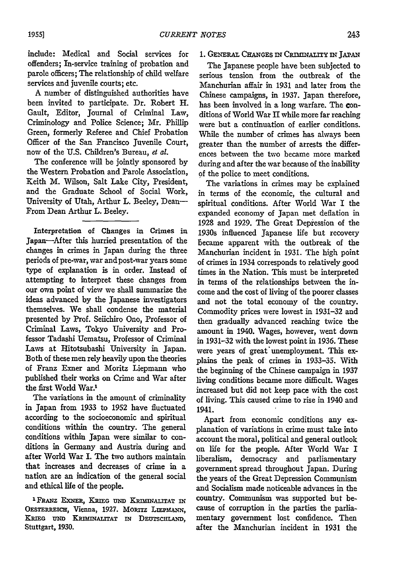include: Medical and Social services for offenders; In-service training of probation and parole officers; The relationship of child welfare services and juvenile courts; etc.

A number of distinguished authorities have been invited to participate. Dr. Robert H. Gault, Editor, Journal of Criminal Law, Criminology and Police Science; Mr. Phillip Green, formerly Referee and Chief Probation Officer of the San Francisco Juvenile Court, now of the U.S. Children's Bureau, *et al.*

The conference will be jointly sponsored by the Western Probation and Parole Association, Keith M. Wilson, Salt Lake City, President, and the Graduate School of Social Work, University of Utah, Arthur L. Beeley, Dean-From Dean Arthur L. Beeley.

Interpretation of Changes in Crimes in Japan-After this hurried presentation of the changes in crimes in Japan during the three periods of pre-war, war and post-war years some type of explanation is in order. Instead of attempting to interpret these changes from our own point of view we shall summarize the ideas advanced by the Japanese investigators themselves. We shall condense the material presented **by** Prof. Seichiro Ono, Professor of Criminal Laws, Tokyo University and Professor Tadashi Uematsu, Professor of Criminal Laws at Hitotsubashi University in Japan. Both of these men rely heavily upon the theories of Franz Exner and Moritz Liepmann who published their works on Crime and War after the first World War.1

The variations in the amount of criminality in Japan from 1933 to 1952 have fluctuated according to the socioeconomic and spiritual conditions within the country. The general conditions within Japan were similar to conditions in Germany and Austria during and after World War I. The two authors maintain that increases and decreases of crime in a nation are an indication of the general social and ethical life of the people.

<sup>1</sup> FRANZ EXNER, KRIEG UND KRIMINALITAT IN OESTERREICH, Vienna, 1927. MORITZ LIEPMANN, KRIEG UND KRIMINALITAT IN DEUTSCHLAND, Stuttgart, **1930.**

#### 1. GENERAL CHANGES IN CRIMINALITY IN JAPAN

The Japanese people have been subjected to serious tension from the outbreak of the Manchurian affair in **1931** and later from the Chinese campaigns, in **1937.** Japan therefore, has been involved in a long warfare. The conditions of World War **II** while more far reaching were but a continuation of earlier conditions. While the number of crimes has always been greater than the number of arrests the differences between the two became more marked during and after the war because of the inability **of** the police to meet conditions.

The variations in crimes may be explained in terms of the economic, the cultural and spiritual conditions. After World War I the expanded economy of Japan met deflation in 1928 and 1929. The Great Depression of the 1930s influenced Japanese life but recovery became apparent with the outbreak of the Manchurian incident in 1931. The high point of crimes in 1934 corresponds to relatively good times in the Nation. This must be interpreted in terms of the relationships between the income and the cost of living of the poorer classes and not the total economy of the country. Commodity prices were lowest in 1931-32 and then gradually advanced reaching twice the amount in 1940. Wages, however, went down in 1931-32 with the lowest point in 1936. These were years of great unemployment. This explains the peak of crimes in 1933-35. With the beginning of the Chinese campaign in 1937 living conditions became more difficult. Wages increased but did not keep pace with the cost of living. This caused crime to rise in 1940 and 1941.

Apart from economic conditions any explanation of variations in crime must take into account the moral, political and general outlook on life for the people. After World War I liberalism, democracy and parliamentary government spread throughout Japan. During the years of the Great Depression Communism and Socialism made noticeable advances in the country. Communism was supported but because of corruption in the parties the parliamentary government lost confidence. Then after the Manchurian incident in **1931** the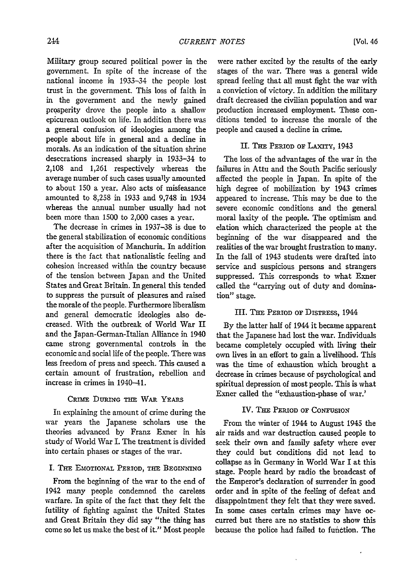Military group secured political power in the government. In spite of the increase of the national income in 1933-34 the people lost trust in the government. This loss of faith in in the government and the newly gained prosperity drove the people into a shallow epicurean outlook on life. In addition there was a general confusion of ideologies among the people about life in general and a decline in morals. As an indication of the situation shrine desecrations increased sharply in 1933-34 to 2,108 and 1,261 respectively whereas the average number of such cases usually amounted to about 150 a year. Also acts of misfeasance amounted to 8,258 in 1933 and 9,748 in 1934 whereas the annual number usually had not been more than 1500 to 2,000 cases a year.

The decrease in crimes in 1937-38 is due to the general stabilization of economic conditions after the acquisition of Manchuria. In addition there is the fact that nationalistic feeling and cohesion increased within the country because of the tension between Japan and the United States and Great Britain. In general this tended to suppress the pursuit of pleasures and raised the morale of the people. Furthermore liberalism and general democratic ideologies also decreased. With the outbreak of World War II and the Japan-German-Italian Alliance in 1940 came strong governmental controls in the economic and social life of the people. There was less freedom of press and speech. This caused a certain amount of frustration, rebellion and increase in crimes in 1940-41.

#### CRIME DURING THE WAR YEARS

In explaining the amount of crime during the war years the Japanese scholars use the theories advanced by Franz Exner in his study of World War I. The treatment is divided into certain phases or stages of the war.

#### I. THE EMOTIONAL PERIOD, THE BEGINNING

From the beginning of the war to the end of 1942 many people condemned the careless warfare. In spite of the fact that they felt the futility of fighting against the United States and Great Britain they did say "the thing has come so let us make the best of it." Most people

were rather excited by the results of the early stages of the war. There was a general wide spread feeling that all must fight the war with a conviction of victory. In addition the military draft decreased the civilian population and war production increased employment. These conditions tended to increase the morale of the people and caused a decline in crime.

#### **I. THE** PERIOD or LAXrrY, 1943

The loss of the advantages of the war in the failures in Attu and the South Pacific seriously affected the people in Japan. In spite of the high degree of mobilization by 1943 crimes appeared to increase. This may be due to the severe economic conditions and the general moral laxity of the people. The optimism and elation which characterized the people at the beginning of the war disappeared and the realities of the war brought frustration to many. In the fall of 1943 students were drafted into service and suspicious persons and strangers suppressed. This corresponds to what Exner called the "carrying out of duty and domination" stage.

#### III. THE PERIOD OF DISTRESS, 1944

By the latter half of 1944 it became apparent that the Japanese had lost the war. Individuals became completely occupied with living their own lives in an effort to gain a livelihood. This was the time of exhaustion which brought a decrease in crimes because of psychological and spiritual depression of most people. This is what Exner called the "exhaustion-phase of war.'

#### IV. THE PERIOD OF **CONFUSION**

From the winter of 1944 to August 1945 the air raids and war destruction caused people to seek their own and family safety where ever they could but conditions did not lead to collapse as in Germany in World War I at this stage. People heard by radio the broadcast of the Emperor's declaration of surrender in good order and in spite of the feeling of defeat and disappointment they felt that they were saved. In some cases certain crimes may have occurred but there are no statistics to show this because the police had failed to fufction. The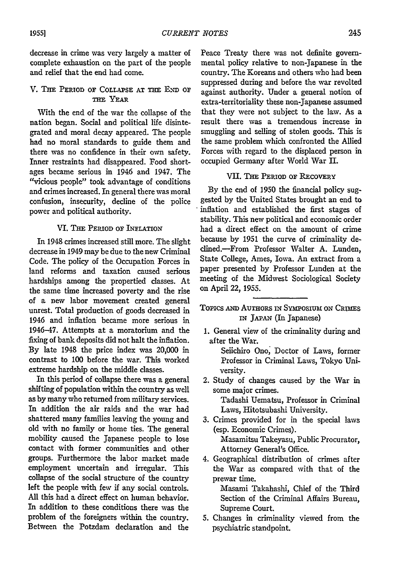decrease in crime was very largely a matter of complete exhaustion on the part of the people and relief that the end had come.

## V. **Thx PERIOD** OF COLLAPSE **AT THE END OF** THE YEAR

With the end of the war the collapse of the nation began. Social and political life disintegrated and moral decay appeared. The people had no moral standards to guide them and there was no confidence in their own safety. Inner restraints had disappeared. Food shortages became serious in 1946 and 1947. The "vicious people" took advantage of conditions and crimes increased. In general there was moral confusion, insecurity, decline of the police power and political authority.

#### VI. THE PERIOD **OF INFLATION**

In 1948 crimes increased still more. The slight decrease in 1949 may be due to the new Criminal Code. The policy of the Occupation Forces in land reforms and taxation caused serious hardships among the propertied classes. At the same time increased poverty and the rise of a new labor movement created general unrest. Total production of goods decreased in 1946 and inflation became more serious in 1946-47. Attempts at a moratorium and the fixing of bank deposits did not halt the inflation. By late 1948 the price index was 20,000 in contrast to 100 before the war. This worked extreme hardship on the middle classes.

In this period of collapse there was a general shifting of population within the country as well as by many who returned from military services. In addition the air raids and the war had shattered many families leaving the young and old with no family or home ties. The general mobility caused the Japanese people to lose contact with former communities and other groups. Furthermore the labor market made employment uncertain and irregular. This collapse of the social structure of the country left the people with few if any social controls. All this had a direct effect on human behavior. In addition to these conditions there was the problem of the foreigners within the country. Between the Potzdam declaration and the

Peace Treaty there was not definite governmental policy relative to non-Japanese in the country. The Koreans and others who had been suppressed daring and before the war revolted against authority. Under a general notion of extra-territoriality these non-Japanese assumed that they were not subject to the law. As a result there was a tremendous increase in smuggling and selling of stolen goods. This is the same problem which confronted the Allied Forces with regard to the displaced person in occupied Germany after World War II.

#### **VII. THE** PERIOD **OF** RECOVERY

By the end of 1950 the financial policy suggested by the United States brought an end to inflation and established the first stages of stability. This new political and economic order had a direct effect on the amount of crime because by 1951 the curve of criminality declined.-From Professor Walter A. Lunden, State College, Ames, Iowa. An extract from a paper presented by Professor Lunden at the meeting of the Midwest Sociological Society on April 22, 1955.

## Topics **AND** AUTHORs **IN** Symosrum *ON* CRIMES IN JAPAN (In Japanese)

1. General view of the criminality during and after the War.

Seiichiro Ono, Doctor of Laws, former Professor in Criminal Laws, Tokyo University.

- 2. Study of changes caused by the War in some major crimes. Tadashi Uematsu, Professor in Criminal
- Laws, Hitotsubashi University. 3. Crimes provided for in the special laws (esp. Economic Crimes). Masamitsu Takeyasu, Public Procurator, Attorney General's Office.
- 4. Geographical distribution of crimes after the War as compared with that of the prewar time.

Masami Takahashi, Chief of the Third Section of the Criminal Affairs Bureau, Supreme Court.

5. Changes in criminality viewed from the psychiatric standpoint.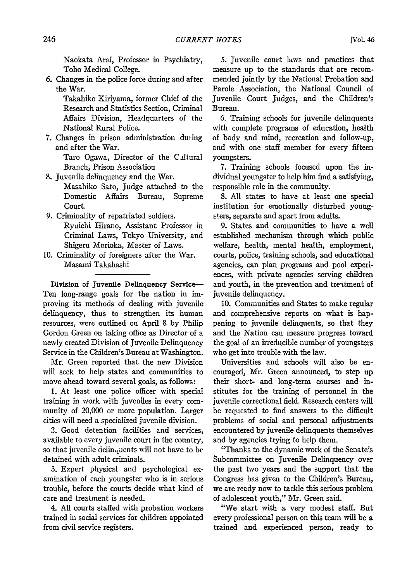Naokata Arai, Professor in Psychiatry, Toho Medical College.

6. Changes in the police force during and after the War.

> Takahiko Kiriyama, former Chief of the Research and Statistics Section, Criminal Affairs Division, Headquarters of the National Rural Police.

7. Changes in prison administration diing and after the War.

> Taro Ogawa, Director of the Cultural Branch, Prison Association

- 8. Juvenile delinquency and the War. Masahiko Sato, Judge attached to the Domestic Affairs Bureau, Supreme Court.
- 9. Criminality of repatriated soldiers. Ryuichi Hirano, Assistant Professor in Criminal Laws, Tokyo University, and Shigeru Morioka, Master of Laws.
- 10. Criminality of foreigners after the War. Masami Takahashi

Division of Juvenile Delinquency Service-Ten long-range goals for the nation in **im**proving its methods of dealing with juvenile delinquency, thus to strengthen its human resources, were outlined on April 8 by Philip Gordon Green on taking office as Director of a newly created Division of Juvenile Delinquency Service in the Children's Bureau at Washington.

Mr. Green reported that the new Division will seek to help states and communities to move ahead toward several goals, as follows:

1. At least one police officer with special training in work with juveniles in every community of 20,000 or more population. Larger cities will need a specialized juvenile division.

2. Good detention facilities and services, available to every juvenile court in the country, so that juvenile delinquents will not have to be detained with adult criminals.

3. Expert physical and psychological examination of each youngster who is in serious trouble, before the courts decide what kind of care and treatment is needed.

4. All courts staffed with probation workers trained in social services for children appointed from civil service registers.

**5.** Juvenile court laws and practices that measure up to the standards that are recommended jointly by the National Probation and Parole Association, the National Council of Juvenile Court Judges, and the Children's Bureau.

6. Training schools for juvenile delinquents with complete programs of education, health of body and mind, recreation and follow-up, and with one staff member for every fifteen youngsters.

7. Training schools focused upon the individual youngster to help him find a satisfying, responsible role in the community.

8. All states to have at least one special institution for emotionally disturbed young-**S** ters, separate and apart from adults.

9. States and communities to have a well established mechanism through which public welfare, health, mental health, employment, courts, police, training schools, and educational agencies, can plan programs and pool experiences, with private agencies serving children and youth, in the prevention and trettment of juvenile delinquency.

10. Communities and States to make regular and comprehensive reports on what is happening to juvenile delinquents, so that they and the Nation can measure progress toward the goal of an irreducible number of youngsters who get into trouble with the law.

Universities and schools will also be encouraged, Mr. Green announced, to step up their short- and long-term courses and institutes for the training of personnel in the juvenile correctional field. Research centers will be requested to find answers to the difficult problems of social and personal adjustments encountered by juvenile delinquents themselves and by agencies trying to help them.

"Thanks to the dynamic work of the Senate's Subcommittee on Juvenile Delinquency over the past two years and the support that the Congress has given to the Children's Bureau, we are ready now to tackle this serious problem of adolescent youth," Mr. Green said.

"We start with a very modest staff. But every professional person on this team will be a trained and experienced person, ready to